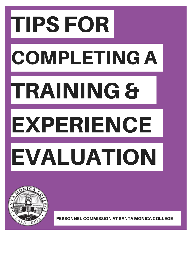# TIPS FOR COMPLETING A TRAINING & EXPERIENCE EVALUATION



PERSONNEL COMMISSION AT SANTA MONICA COLLEGE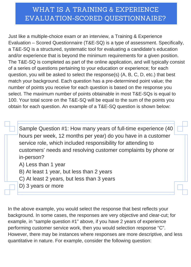### WHAT IS A TRAINING & EXPERIENCE EVALUATION-SCORED QUESTIONNAIRE?

Just like a multiple-choice exam or an interview, a Training & Experience Evaluation – Scored Questionnaire (T&ESQ) is a type of assessment. Specifically, a T&E-SQ is a structured, systematic tool for evaluating a candidate's education and/or experience that is beyond the minimum requirements for a given position. The T&ESQ is completed as part of the online application, and will typically consist of a series of questions pertaining to your education or experience; for each question, you will be asked to select the response(s) (A, B, C, D, etc.) that best match your background. Each question has a pre-determined point value; the number of points you receive for each question is based on the response you select. The maximum number of points obtainable in most T&E-SQs is equal to 100. Your total score on the T&E-SQ will be equal to the sum of the points you obtain for each question. An example of a T&E-SQ question is shown below:

Sample Question #1: How many years of full-time experience (40 hours per week, 12 months per year) do you have in a customer service role, which included responsibility for attending to customers' needs and resolving customer complaints by phone or in-person?

- A) Less than 1 year
- B) At least 1 year, but less than 2 years
- C) At least 2 years, but less than 3 years
- D) 3 years or more

In the above example, you would select the response that best reflects your background. In some cases, the responses are very objective and clear-cut; for example, in "sample question #1" above, if you have 2 years of experience performing customer service work, then you would selection response "C". However, there may be instances where responses are more descriptive, and less quantitative in nature. For example, consider the following question: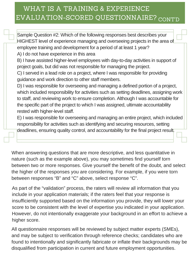## WHAT IS A TRAINING & EXPERIENCE EVALUATION-SCORED QUESTIONNAIRE? CONT'D

Sample Question #2: Which of the following responses best describes your HIGHEST level of experience managing and overseeing projects in the area of employee training and development for a period of at least 1 year?

A) I do not have experience in this area

B) I have assisted higher-level employees with day-to-day activities in support of project goals, but did was not responsible for managing the project.

C) I served in a lead role on a project, where I was responsible for providing guidance and work direction to other staff members.

D) I was responsible for overseeing and managing a defined portion of a project, which included responsibility for activities such as setting deadlines, assigning work to staff, and reviewing work to ensure completion. Although I was accountable for the specific part of the project to which I was assigned, ultimate accountability rested with higher-level staff.

E) I was responsible for overseeing and managing an entire project, which included responsibility for activities such as identifying and securing resources, setting deadlines, ensuring quality control, and accountability for the final project result.

When answering questions that are more descriptive, and less quantitative in nature (such as the example above), you may sometimes find yourself torn between two or more responses. Give yourself the benefit of the doubt, and select the higher of the responses you are considering. For example, if you were torn between responses "B" and "C" above, select response "C".

As part of the "validation" process, the raters will review all information that you include in your application materials; if the raters feel that your response is insufficiently supported based on the information you provide, they will lower your score to be consistent with the level of expertise you indicated in your application. However, do not intentionally exaggerate your background in an effort to achieve a higher score.

All questionnaire responses will be reviewed by subject matter experts (SMEs), and may be subject to verification through reference checks; candidates who are found to intentionally and significantly fabricate or inflate their backgrounds may be disqualified from participation in current and future employment opportunities.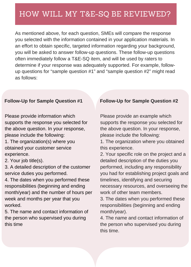# HOW WILL MY T&E-SQ BE REVIEWED?

As mentioned above, for each question, SMEs will compare the response you selected with the information contained in your application materials. In an effort to obtain specific, targeted information regarding your background, you will be asked to answer follow-up questions. These follow-up questions often immediately follow a T&E-SQ item, and will be used by raters to determine if your response was adequately supported. For example, followup questions for "sample question #1" and "sample question #2" might read as follows:

#### **FollowUp for Sample Question #1**

Please provide information which supports the response you selected for the above question. In your response, please include the following:

1. The organization(s) where you obtained your customer service experience.

2. Your job title(s).

3. A detailed description of the customer service duties you performed.

4. The dates when you performed these responsibilities (beginning and ending month/year) and the number of hours per week and months per year that you worked.

5. The name and contact information of the person who supervised you during this time

#### **FollowUp for Sample Question #2**

Please provide an example which supports the response you selected for the above question. In your response, please include the following:

1. The organization where you obtained this experience.

2. Your specific role on the project and a detailed description of the duties you performed, including any responsibility you had for establishing project goals and timelines, identifying and securing necessary resources, and overseeing the work of other team members.

3. The dates when you performed these responsibilities (beginning and ending month/year).

4. The name and contact information of the person who supervised you during this time.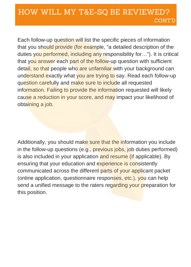Each follow-up question will list the specific pieces of information that you should provide (for example, "a detailed description of the duties you performed, including any responsibility for…"). It is critical that you answer each part of the follow-up question with sufficient detail, so that people who are unfamiliar with your background can understand exactly what you are trying to say. Read each follow-up question carefully and make sure to include all requested information. Failing to provide the information requested will likely cause a reduction in your score, and may impact your likelihood of obtaining a job.

Additionally, you should make sure that the information you include in the follow-up questions (e.g., previous jobs, job duties performed) is also included in your application and resume (if applicable). By ensuring that your education and experience is consistently communicated across the different parts of your applicant packet (online application, questionnaire responses, etc.), you can help send a unified message to the raters regarding your preparation for this position.